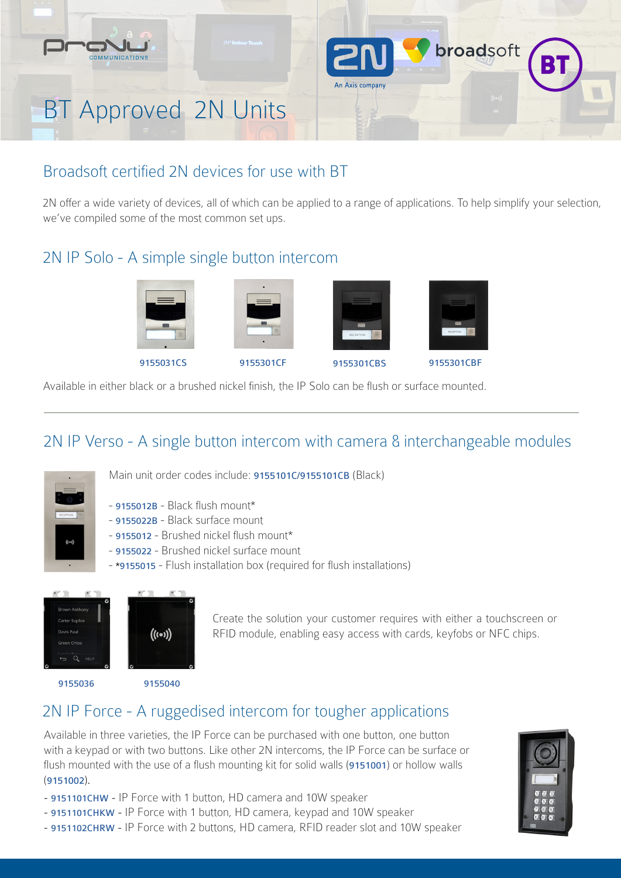

# Broadsoft certified 2N devices for use with BT

2N offer a wide variety of devices, all of which can be applied to a range of applications. To help simplify your selection, we've compiled some of the most common set ups.

# 2N IP Solo - A simple single button intercom



Available in either black or a brushed nickel finish, the IP Solo can be flush or surface mounted.

# 2N IP Verso - A single button intercom with camera & interchangeable modules



Main unit order codes include: 9155101C/9155101CB (Black)

- 9155012B Black flush mount\*
- 9155022B Black surface mount
- 9155012 Brushed nickel flush mount\*
- 9155022 Brushed nickel surface mount
- \*9155015 Flush installation box (required for flush installations)





Create the solution your customer requires with either a touchscreen or RFID module, enabling easy access with cards, keyfobs or NFC chips.

9155036 9155040

# 2N IP Force - A ruggedised intercom for tougher applications

Available in three varieties, the IP Force can be purchased with one button, one button with a keypad or with two buttons. Like other 2N intercoms, the IP Force can be surface or flush mounted with the use of a flush mounting kit for solid walls (9151001) or hollow walls (9151002).

- 9151101CHW IP Force with 1 button, HD camera and 10W speaker
- 9151101CHKW IP Force with 1 button, HD camera, keypad and 10W speaker
- 9151102CHRW IP Force with 2 buttons, HD camera, RFID reader slot and 10W speaker